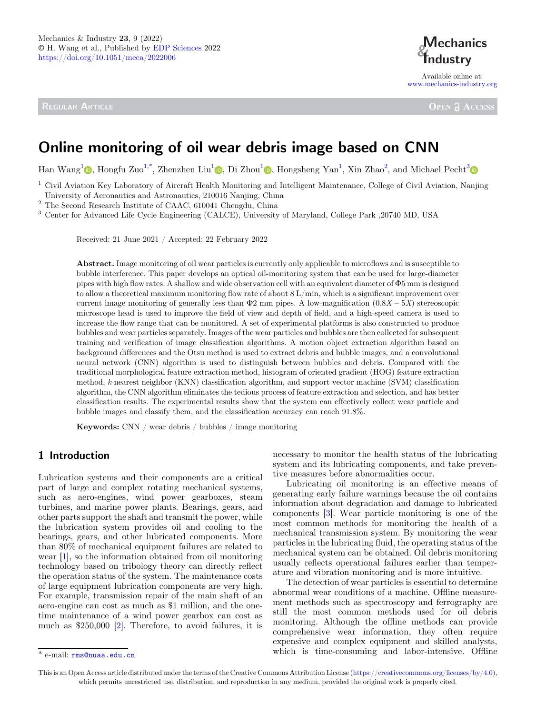REGULAR ARTICLE



Available online at: [www.mechanics-industry.org](https://www.mechanics-industry.org)

**OPEN A ACCESS** 

# Online monitoring of oil wear debris image based on CNN

Han Wang<sup>[1](https://orcid.org/0000-0002-2925-4704)</sup> , Hongfu Zuo<sup>1,\*</sup>[, Zhenzhen Liu](https://orcid.org/)<sup>1</sup> [,](https://orcid.org/0000-0002-7798-3098) Di Zhou<sup>1</sup> , Hongsheng Yan<sup>1</sup>[, Xin Zhao](https://orcid.org/)<sup>2</sup>, and Michael Pecht<sup>3</sup>

 $1$  Civil Aviation Key Laboratory of Aircraft Health Monitoring and Intelligent Maintenance, College of Civil Aviation, Nanjing

University of Aeronautics and Astronautics, 210016 Nanjing, China<br>  $^2$  The Second Research Institute of CAAC, 610041 Chengdu, China<br>  $^3$  Center for Advanced Life Cycle Engineering (CALCE), University of Maryland, Colleg

Received: 21 June 2021 / Accepted: 22 February 2022

Abstract. Image monitoring of oil wear particles is currently only applicable to microflows and is susceptible to bubble interference. This paper develops an optical oil-monitoring system that can be used for large-diameter pipes with high flow rates. A shallow and wide observation cell with an equivalent diameter of  $\Phi$ 5 mm is designed to allow a theoretical maximum monitoring flow rate of about 8 L/min, which is a significant improvement over current image monitoring of generally less than  $\Phi$ 2 mm pipes. A low-magnification (0.8X – 5X) stereoscopic microscope head is used to improve the field of view and depth of field, and a high-speed camera is used to increase the flow range that can be monitored. A set of experimental platforms is also constructed to produce bubbles and wear particles separately. Images of the wear particles and bubbles are then collected for subsequent training and verification of image classification algorithms. A motion object extraction algorithm based on background differences and the Otsu method is used to extract debris and bubble images, and a convolutional neural network (CNN) algorithm is used to distinguish between bubbles and debris. Compared with the traditional morphological feature extraction method, histogram of oriented gradient (HOG) feature extraction method, k-nearest neighbor (KNN) classification algorithm, and support vector machine (SVM) classification algorithm, the CNN algorithm eliminates the tedious process of feature extraction and selection, and has better classification results. The experimental results show that the system can effectively collect wear particle and bubble images and classify them, and the classification accuracy can reach 91.8%.

Keywords: CNN / wear debris / bubbles / image monitoring

## 1 Introduction

Lubrication systems and their components are a critical part of large and complex rotating mechanical systems, such as aero-engines, wind power gearboxes, steam turbines, and marine power plants. Bearings, gears, and other parts support the shaft and transmit the power, while the lubrication system provides oil and cooling to the bearings, gears, and other lubricated components. More than 80% of mechanical equipment failures are related to wear [\[1](#page-13-0)], so the information obtained from oil monitoring technology based on tribology theory can directly reflect the operation status of the system. The maintenance costs of large equipment lubrication components are very high. For example, transmission repair of the main shaft of an aero-engine can cost as much as \$1 million, and the onetime maintenance of a wind power gearbox can cost as much as \$250,000 [\[2](#page-13-0)]. Therefore, to avoid failures, it is necessary to monitor the health status of the lubricating system and its lubricating components, and take preventive measures before abnormalities occur.

Lubricating oil monitoring is an effective means of generating early failure warnings because the oil contains information about degradation and damage to lubricated components [\[3](#page-13-0)]. Wear particle monitoring is one of the most common methods for monitoring the health of a mechanical transmission system. By monitoring the wear particles in the lubricating fluid, the operating status of the mechanical system can be obtained. Oil debris monitoring usually reflects operational failures earlier than temperature and vibration monitoring and is more intuitive.

The detection of wear particles is essential to determine abnormal wear conditions of a machine. Offline measurement methods such as spectroscopy and ferrography are still the most common methods used for oil debris monitoring. Although the offline methods can provide comprehensive wear information, they often require expensive and complex equipment and skilled analysts,  $\overline{\text{``e-mail: rms@nuaa.edu.cn}}$  $\overline{\text{``e-mail: rms@nuaa.edu.cn}}$  $\overline{\text{``e-mail: rms@nuaa.edu.cn}}$  which is time-consuming and labor-intensive. Offline

This is an Open Access article distributed under the terms of the Creative Commons Attribution License [\(https://creativecommons.org/licenses/by/4.0\)](https://creativecommons.org/licenses/by/4.0), which permits unrestricted use, distribution, and reproduction in any medium, provided the original work is properly cited.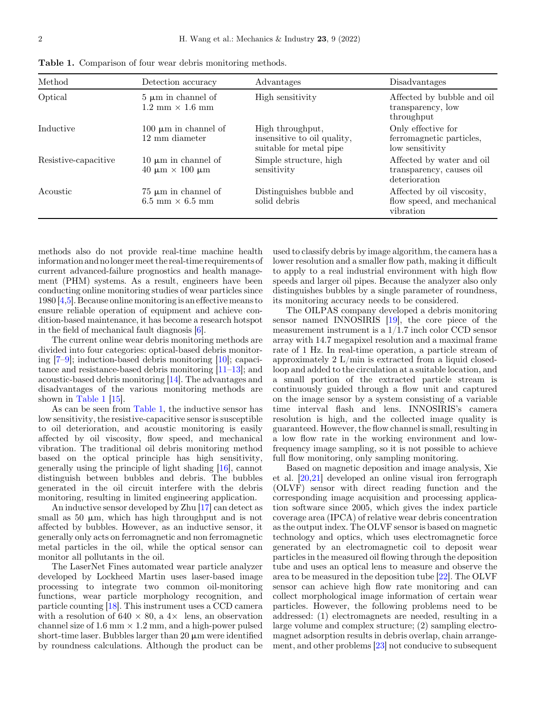| Method               | Detection accuracy                                                 | Advantages                                                                 | Disadvantages                                                          |
|----------------------|--------------------------------------------------------------------|----------------------------------------------------------------------------|------------------------------------------------------------------------|
| Optical              | $5 \mu m$ in channel of<br>$1.2 \text{ mm} \times 1.6 \text{ mm}$  | High sensitivity                                                           | Affected by bubble and oil<br>transparency, low<br>throughput          |
| Inductive            | 100 $\mu$ m in channel of<br>12 mm diameter                        | High throughput,<br>insensitive to oil quality,<br>suitable for metal pipe | Only effective for<br>ferromagnetic particles,<br>low sensitivity      |
| Resistive-capacitive | 10 $\mu$ m in channel of<br>$40 \mu m \times 100 \mu m$            | Simple structure, high<br>sensitivity                                      | Affected by water and oil<br>transparency, causes oil<br>deterioration |
| Acoustic             | $75 \mu m$ in channel of<br>$6.5 \text{ mm} \times 6.5 \text{ mm}$ | Distinguishes bubble and<br>solid debris                                   | Affected by oil viscosity,<br>flow speed, and mechanical<br>vibration  |

Table 1. Comparison of four wear debris monitoring methods.

methods also do not provide real-time machine health information and nolongermeet the real-time requirements of current advanced-failure prognostics and health management (PHM) systems. As a result, engineers have been conducting online monitoring studies of wear particles since 1980 [[4,5](#page-13-0)]. Because online monitoring is an effective means to ensure reliable operation of equipment and achieve condition-based maintenance, it has become a research hotspot in the field of mechanical fault diagnosis [[6\]](#page-13-0).

The current online wear debris monitoring methods are divided into four categories: optical-based debris monitoring [\[7](#page-13-0)–[9](#page-13-0)]; induction-based debris monitoring [\[10](#page-13-0)]; capacitance and resistance-based debris monitoring [[11](#page-13-0)–[13](#page-13-0)]; and acoustic-based debris monitoring [\[14](#page-13-0)]. The advantages and disadvantages of the various monitoring methods are shown in Table 1 [[15\]](#page-13-0).

As can be seen from Table 1, the inductive sensor has low sensitivity, the resistive-capacitive sensor is susceptible to oil deterioration, and acoustic monitoring is easily affected by oil viscosity, flow speed, and mechanical vibration. The traditional oil debris monitoring method based on the optical principle has high sensitivity, generally using the principle of light shading [[16\]](#page-13-0), cannot distinguish between bubbles and debris. The bubbles generated in the oil circuit interfere with the debris monitoring, resulting in limited engineering application.

An inductive sensor developed by Zhu [[17\]](#page-13-0) can detect as small as  $50 \mu m$ , which has high throughput and is not affected by bubbles. However, as an inductive sensor, it generally only acts on ferromagnetic and non ferromagnetic metal particles in the oil, while the optical sensor can monitor all pollutants in the oil.

The LaserNet Fines automated wear particle analyzer developed by Lockheed Martin uses laser-based image processing to integrate two common oil-monitoring functions, wear particle morphology recognition, and particle counting [\[18\]](#page-13-0). This instrument uses a CCD camera with a resolution of  $640 \times 80$ , a  $4 \times$  lens, an observation channel size of 1.6 mm  $\times$  1.2 mm, and a high-power pulsed short-time laser. Bubbles larger than  $20 \mu m$  were identified by roundness calculations. Although the product can be

used to classify debris by image algorithm, the camera has a lower resolution and a smaller flow path, making it difficult to apply to a real industrial environment with high flow speeds and larger oil pipes. Because the analyzer also only distinguishes bubbles by a single parameter of roundness, its monitoring accuracy needs to be considered.

The OILPAS company developed a debris monitoring sensor named INNOSIRIS [[19\]](#page-13-0), the core piece of the measurement instrument is a  $1/1.7$  inch color CCD sensor array with 14.7 megapixel resolution and a maximal frame rate of 1 Hz. In real-time operation, a particle stream of approximately 2 L/min is extracted from a liquid closedloop and added to the circulation at a suitable location, and a small portion of the extracted particle stream is continuously guided through a flow unit and captured on the image sensor by a system consisting of a variable time interval flash and lens. INNOSIRIS's camera resolution is high, and the collected image quality is guaranteed. However, the flow channel is small, resulting in a low flow rate in the working environment and lowfrequency image sampling, so it is not possible to achieve full flow monitoring, only sampling monitoring.

Based on magnetic deposition and image analysis, Xie et al. [[20,21](#page-13-0)] developed an online visual iron ferrograph (OLVF) sensor with direct reading function and the corresponding image acquisition and processing application software since 2005, which gives the index particle coverage area (IPCA) of relative wear debris concentration as the output index. The OLVF sensor is based on magnetic technology and optics, which uses electromagnetic force generated by an electromagnetic coil to deposit wear particles in the measured oil flowing through the deposition tube and uses an optical lens to measure and observe the area to be measured in the deposition tube [[22\]](#page-13-0). The OLVF sensor can achieve high flow rate monitoring and can collect morphological image information of certain wear particles. However, the following problems need to be addressed: (1) electromagnets are needed, resulting in a large volume and complex structure; (2) sampling electromagnet adsorption results in debris overlap, chain arrangement, and other problems [[23](#page-13-0)] not conducive to subsequent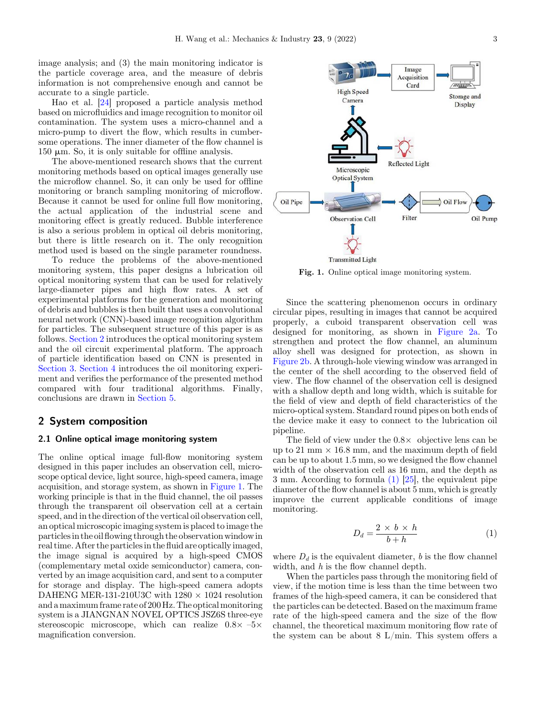image analysis; and (3) the main monitoring indicator is the particle coverage area, and the measure of debris information is not comprehensive enough and cannot be accurate to a single particle.

Hao et al. [\[24](#page-13-0)] proposed a particle analysis method based on microfluidics and image recognition to monitor oil contamination. The system uses a micro-channel and a micro-pump to divert the flow, which results in cumbersome operations. The inner diameter of the flow channel is  $150 \mu m$ . So, it is only suitable for offline analysis.

The above-mentioned research shows that the current monitoring methods based on optical images generally use the microflow channel. So, it can only be used for offline monitoring or branch sampling monitoring of microflow. Because it cannot be used for online full flow monitoring, the actual application of the industrial scene and monitoring effect is greatly reduced. Bubble interference is also a serious problem in optical oil debris monitoring, but there is little research on it. The only recognition method used is based on the single parameter roundness.

To reduce the problems of the above-mentioned monitoring system, this paper designs a lubrication oil optical monitoring system that can be used for relatively large-diameter pipes and high flow rates. A set of experimental platforms for the generation and monitoring of debris and bubbles is then built that uses a convolutional neural network (CNN)-based image recognition algorithm for particles. The subsequent structure of this paper is as follows. Section 2 introduces the optical monitoring system and the oil circuit experimental platform. The approach of particle identification based on CNN is presented in Section 3. Section 4 introduces the oil monitoring experiment and verifies the performance of the presented method compared with four traditional algorithms. Finally, conclusions are drawn in Section 5.

## 2 System composition

#### 2.1 Online optical image monitoring system

The online optical image full-flow monitoring system designed in this paper includes an observation cell, microscope optical device, light source, high-speed camera, image acquisition, and storage system, as shown in Figure 1. The working principle is that in the fluid channel, the oil passes through the transparent oil observation cell at a certain speed, and in the direction of the vertical oil observation cell, an optical microscopic imaging system is placed to image the particlesin the oilflowing through the observation windowin real time. After the particlesin the fluid are optically imaged, the image signal is acquired by a high-speed CMOS (complementary metal oxide semiconductor) camera, converted by an image acquisition card, and sent to a computer for storage and display. The high-speed camera adopts DAHENG MER-131-210U3C with  $1280 \times 1024$  resolution and a maximum frame rate of 200 Hz. The optical monitoring system is a JIANGNAN NOVEL OPTICS JSZ6S three-eye stereoscopic microscope, which can realize  $0.8\times -5\times$ magnification conversion.



Fig. 1. Online optical image monitoring system.

Since the scattering phenomenon occurs in ordinary circular pipes, resulting in images that cannot be acquired properly, a cuboid transparent observation cell was designed for monitoring, as shown in [Figure 2a](#page-3-0). To strengthen and protect the flow channel, an aluminum alloy shell was designed for protection, as shown in [Figure 2b.](#page-3-0) A through-hole viewing window was arranged in the center of the shell according to the observed field of view. The flow channel of the observation cell is designed with a shallow depth and long width, which is suitable for the field of view and depth of field characteristics of the micro-optical system. Standard round pipes on both ends of the device make it easy to connect to the lubrication oil pipeline.

The field of view under the  $0.8\times$  objective lens can be up to 21 mm  $\times$  16.8 mm, and the maximum depth of field can be up to about 1.5 mm, so we designed the flow channel width of the observation cell as 16 mm, and the depth as 3 mm. According to formula (1) [\[25](#page-13-0)], the equivalent pipe diameter of the flow channel is about 5 mm, which is greatly improve the current applicable conditions of image monitoring.

$$
D_d = \frac{2 \times b \times h}{b + h} \tag{1}
$$

where  $D_d$  is the equivalent diameter, b is the flow channel width, and  $h$  is the flow channel depth.

When the particles pass through the monitoring field of view, if the motion time is less than the time between two frames of the high-speed camera, it can be considered that the particles can be detected. Based on the maximum frame rate of the high-speed camera and the size of the flow channel, the theoretical maximum monitoring flow rate of the system can be about  $8 \text{ L/min}$ . This system offers a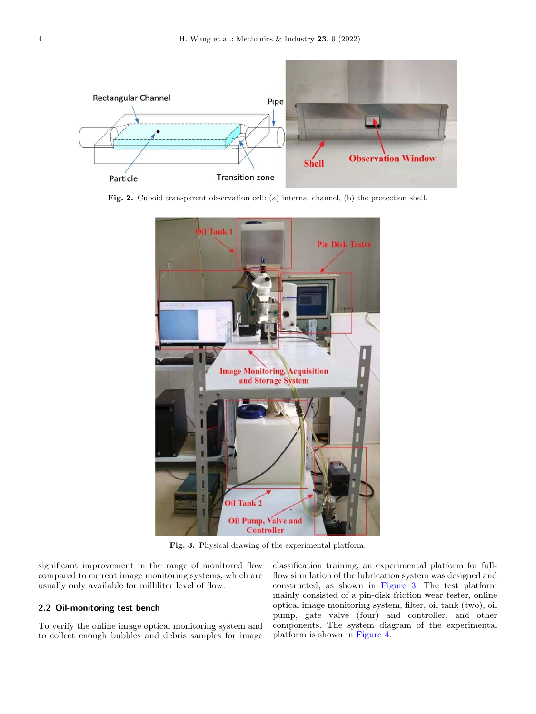<span id="page-3-0"></span>

Fig. 2. Cuboid transparent observation cell: (a) internal channel, (b) the protection shell.



Fig. 3. Physical drawing of the experimental platform.

significant improvement in the range of monitored flow compared to current image monitoring systems, which are usually only available for milliliter level of flow.

## 2.2 Oil-monitoring test bench

To verify the online image optical monitoring system and to collect enough bubbles and debris samples for image classification training, an experimental platform for fullflow simulation of the lubrication system was designed and constructed, as shown in Figure 3. The test platform mainly consisted of a pin-disk friction wear tester, online optical image monitoring system, filter, oil tank (two), oil pump, gate valve (four) and controller, and other components. The system diagram of the experimental platform is shown in [Figure 4](#page-4-0).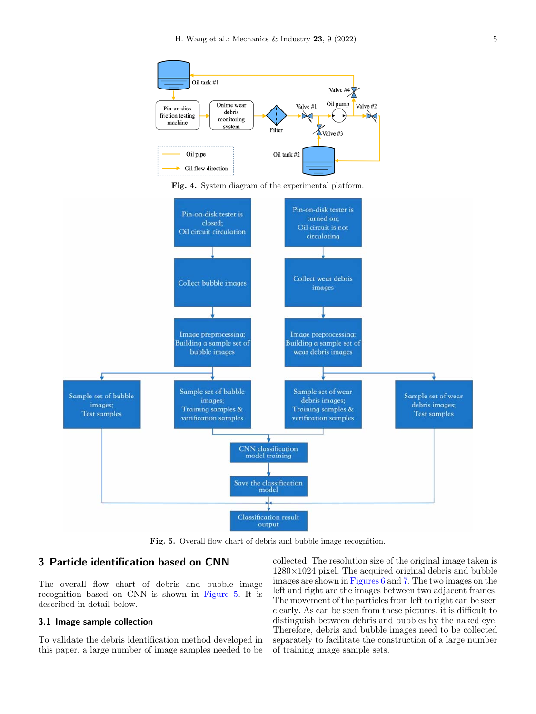<span id="page-4-0"></span>





Fig. 5. Overall flow chart of debris and bubble image recognition.

## 3 Particle identification based on CNN

The overall flow chart of debris and bubble image recognition based on CNN is shown in Figure 5. It is described in detail below.

## 3.1 Image sample collection

To validate the debris identification method developed in this paper, a large number of image samples needed to be

collected. The resolution size of the original image taken is  $1280\times1024$  pixel. The acquired original debris and bubble images are shown in [Figures 6](#page-5-0) and [7](#page-5-0). The two images on the left and right are the images between two adjacent frames. The movement of the particles from left to right can be seen clearly. As can be seen from these pictures, it is difficult to distinguish between debris and bubbles by the naked eye. Therefore, debris and bubble images need to be collected separately to facilitate the construction of a large number of training image sample sets.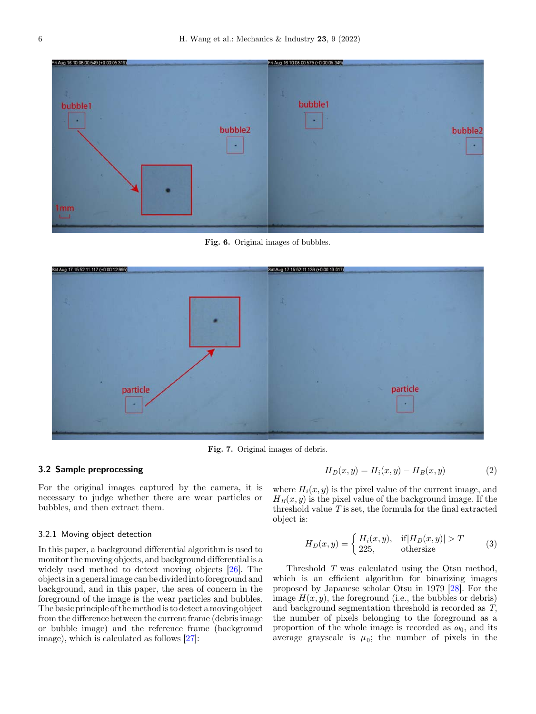<span id="page-5-0"></span>

Fig. 6. Original images of bubbles.



Fig. 7. Original images of debris.

## 3.2 Sample preprocessing

For the original images captured by the camera, it is necessary to judge whether there are wear particles or bubbles, and then extract them.

#### 3.2.1 Moving object detection

In this paper, a background differential algorithm is used to monitor the moving objects, and background differential is a widely used method to detect moving objects [[26\]](#page-13-0). The objects in a general image can be divided into foreground and background, and in this paper, the area of concern in the foreground of the image is the wear particles and bubbles. The basic principle of themethod is to detect a moving object from the difference between the current frame (debris image or bubble image) and the reference frame (background image), which is calculated as follows [\[27](#page-13-0)]:

where  $H_i(x, y)$  is the pixel value of the current image, and  $H_B(x, y)$  is the pixel value of the background image. If the threshold value  $T$  is set, the formula for the final extracted object is:

$$
H_D(x,y) = \begin{cases} H_i(x,y), & \text{if } |H_D(x,y)| > T\\ 225, & \text{otherwise} \end{cases}
$$
 (3)

 $H_D(x, y) = H_i(x, y) - H_B(x, y)$  (2)

Threshold T was calculated using the Otsu method, which is an efficient algorithm for binarizing images proposed by Japanese scholar Otsu in 1979 [[28\]](#page-13-0). For the image  $H(x, y)$ , the foreground (i.e., the bubbles or debris) and background segmentation threshold is recorded as T, the number of pixels belonging to the foreground as a proportion of the whole image is recorded as  $\omega_0$ , and its average grayscale is  $\mu_0$ ; the number of pixels in the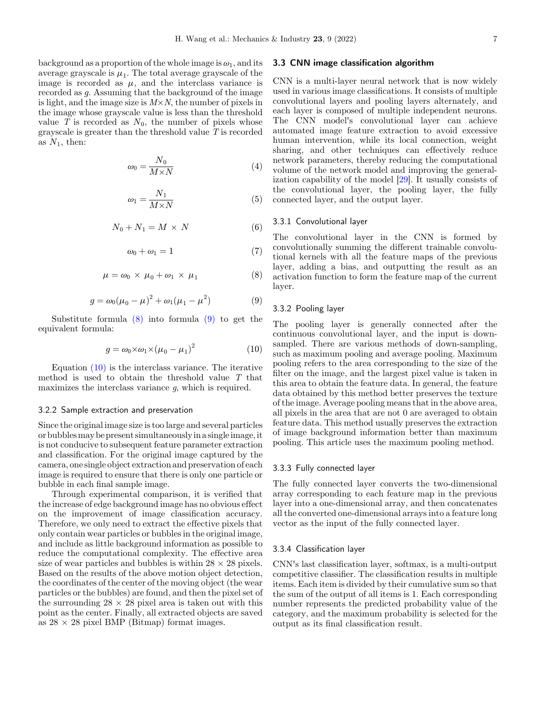background as a proportion of the whole image is  $\omega_1$ , and its average grayscale is  $\mu_1$ . The total average grayscale of the image is recorded as  $\mu$ , and the interclass variance is recorded as *a*. Assuming that the background of the image is light, and the image size is  $M \times N$ , the number of pixels in the image whose grayscale value is less than the threshold value T is recorded as  $N_0$ , the number of pixels whose grayscale is greater than the threshold value  $T$  is recorded as  $N_1$ , then:

$$
\omega_0 = \frac{N_0}{M \times N} \tag{4}
$$

$$
\omega_1 = \frac{N_1}{M \times N} \tag{5}
$$

$$
N_0 + N_1 = M \times N \tag{6}
$$

$$
\omega_0 + \omega_1 = 1 \tag{7}
$$

$$
\mu = \omega_0 \times \mu_0 + \omega_1 \times \mu_1 \tag{8}
$$

$$
g = \omega_0 (\mu_0 - \mu)^2 + \omega_1 (\mu_1 - \mu^2)
$$
 (9)

Substitute formula  $(8)$  into formula  $(9)$  to get the equivalent formula:

$$
g = \omega_0 \times \omega_1 \times (\mu_0 - \mu_1)^2 \tag{10}
$$

Equation (10) is the interclass variance. The iterative method is used to obtain the threshold value T that maximizes the interclass variance q, which is required.

#### 3.2.2 Sample extraction and preservation

Since the original image size is too large and several particles or bubblesmay be present simultaneouslyin a singleimage,it is not conducive to subsequent feature parameter extraction and classification. For the original image captured by the camera, one single object extraction and preservation of each image is required to ensure that there is only one particle or bubble in each final sample image.

Through experimental comparison, it is verified that the increase of edge background image has no obvious effect on the improvement of image classification accuracy. Therefore, we only need to extract the effective pixels that only contain wear particles or bubbles in the original image, and include as little background information as possible to reduce the computational complexity. The effective area size of wear particles and bubbles is within  $28 \times 28$  pixels. Based on the results of the above motion object detection, the coordinates of the center of the moving object (the wear particles or the bubbles) are found, and then the pixel set of the surrounding  $28 \times 28$  pixel area is taken out with this point as the center. Finally, all extracted objects are saved as  $28 \times 28$  pixel BMP (Bitmap) format images.

#### 3.3 CNN image classification algorithm

CNN is a multi-layer neural network that is now widely used in various image classifications. It consists of multiple convolutional layers and pooling layers alternately, and each layer is composed of multiple independent neurons. The CNN model's convolutional layer can achieve automated image feature extraction to avoid excessive human intervention, while its local connection, weight sharing, and other techniques can effectively reduce network parameters, thereby reducing the computational volume of the network model and improving the generalization capability of the model [[29\]](#page-13-0). It usually consists of the convolutional layer, the pooling layer, the fully connected layer, and the output layer.

#### 3.3.1 Convolutional layer

The convolutional layer in the CNN is formed by convolutionally summing the different trainable convolutional kernels with all the feature maps of the previous layer, adding a bias, and outputting the result as an activation function to form the feature map of the current layer.

#### 3.3.2 Pooling layer

The pooling layer is generally connected after the continuous convolutional layer, and the input is downsampled. There are various methods of down-sampling, such as maximum pooling and average pooling. Maximum pooling refers to the area corresponding to the size of the filter on the image, and the largest pixel value is taken in this area to obtain the feature data. In general, the feature data obtained by this method better preserves the texture of the image. Average pooling means that in the above area, all pixels in the area that are not 0 are averaged to obtain feature data. This method usually preserves the extraction of image background information better than maximum pooling. This article uses the maximum pooling method.

#### 3.3.3 Fully connected layer

The fully connected layer converts the two-dimensional array corresponding to each feature map in the previous layer into a one-dimensional array, and then concatenates all the converted one-dimensional arrays into a feature long vector as the input of the fully connected layer.

#### 3.3.4 Classification layer

CNN's last classification layer, softmax, is a multi-output competitive classifier. The classification results in multiple items. Each item is divided by their cumulative sum so that the sum of the output of all items is 1. Each corresponding number represents the predicted probability value of the category, and the maximum probability is selected for the output as its final classification result.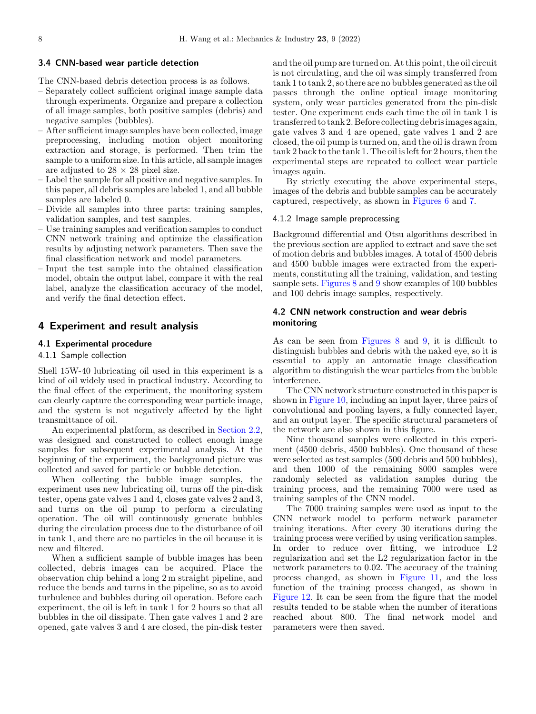#### 3.4 CNN-based wear particle detection

The CNN-based debris detection process is as follows.

- Separately collect sufficient original image sample data through experiments. Organize and prepare a collection of all image samples, both positive samples (debris) and negative samples (bubbles).
- After sufficient image samples have been collected, image preprocessing, including motion object monitoring extraction and storage, is performed. Then trim the sample to a uniform size. In this article, all sample images are adjusted to  $28 \times 28$  pixel size.
- Label the sample for all positive and negative samples. In this paper, all debris samples are labeled 1, and all bubble samples are labeled 0.
- Divide all samples into three parts: training samples, validation samples, and test samples.
- Use training samples and verification samples to conduct CNN network training and optimize the classification results by adjusting network parameters. Then save the final classification network and model parameters.
- Input the test sample into the obtained classification model, obtain the output label, compare it with the real label, analyze the classification accuracy of the model, and verify the final detection effect.

## 4 Experiment and result analysis

## 4.1 Experimental procedure

## 4.1.1 Sample collection

Shell 15W-40 lubricating oil used in this experiment is a kind of oil widely used in practical industry. According to the final effect of the experiment, the monitoring system can clearly capture the corresponding wear particle image, and the system is not negatively affected by the light transmittance of oil.

An experimental platform, as described in Section 2.2, was designed and constructed to collect enough image samples for subsequent experimental analysis. At the beginning of the experiment, the background picture was collected and saved for particle or bubble detection.

When collecting the bubble image samples, the experiment uses new lubricating oil, turns off the pin-disk tester, opens gate valves 1 and 4, closes gate valves 2 and 3, and turns on the oil pump to perform a circulating operation. The oil will continuously generate bubbles during the circulation process due to the disturbance of oil in tank 1, and there are no particles in the oil because it is new and filtered.

When a sufficient sample of bubble images has been collected, debris images can be acquired. Place the observation chip behind a long 2 m straight pipeline, and reduce the bends and turns in the pipeline, so as to avoid turbulence and bubbles during oil operation. Before each experiment, the oil is left in tank 1 for 2 hours so that all bubbles in the oil dissipate. Then gate valves 1 and 2 are opened, gate valves 3 and 4 are closed, the pin-disk tester

and the oil pump are turned on. At this point, the oil circuit is not circulating, and the oil was simply transferred from tank 1 to tank 2, so there are no bubbles generated as the oil passes through the online optical image monitoring system, only wear particles generated from the pin-disk tester. One experiment ends each time the oil in tank 1 is transferred to tank 2. Before collecting debris images again, gate valves 3 and 4 are opened, gate valves 1 and 2 are closed, the oil pump is turned on, and the oil is drawn from tank 2 back to the tank 1. The oil is left for 2 hours, then the experimental steps are repeated to collect wear particle images again.

By strictly executing the above experimental steps, images of the debris and bubble samples can be accurately captured, respectively, as shown in [Figures 6](#page-5-0) and [7.](#page-5-0)

### 4.1.2 Image sample preprocessing

Background differential and Otsu algorithms described in the previous section are applied to extract and save the set of motion debris and bubbles images. A total of 4500 debris and 4500 bubble images were extracted from the experiments, constituting all the training, validation, and testing sample sets. [Figures 8](#page-8-0) and [9](#page-8-0) show examples of 100 bubbles and 100 debris image samples, respectively.

## 4.2 CNN network construction and wear debris monitoring

As can be seen from [Figures 8](#page-8-0) and [9,](#page-8-0) it is difficult to distinguish bubbles and debris with the naked eye, so it is essential to apply an automatic image classification algorithm to distinguish the wear particles from the bubble interference.

The CNN network structure constructed in this paper is shown in [Figure 10](#page-9-0), including an input layer, three pairs of convolutional and pooling layers, a fully connected layer, and an output layer. The specific structural parameters of the network are also shown in this figure.

Nine thousand samples were collected in this experiment (4500 debris, 4500 bubbles). One thousand of these were selected as test samples (500 debris and 500 bubbles), and then 1000 of the remaining 8000 samples were randomly selected as validation samples during the training process, and the remaining 7000 were used as training samples of the CNN model.

The 7000 training samples were used as input to the CNN network model to perform network parameter training iterations. After every 30 iterations during the training process were verified by using verification samples. In order to reduce over fitting, we introduce L2 regularization and set the L2 regularization factor in the network parameters to 0.02. The accuracy of the training process changed, as shown in [Figure 11](#page-9-0), and the loss function of the training process changed, as shown in [Figure 12](#page-10-0). It can be seen from the figure that the model results tended to be stable when the number of iterations reached about 800. The final network model and parameters were then saved.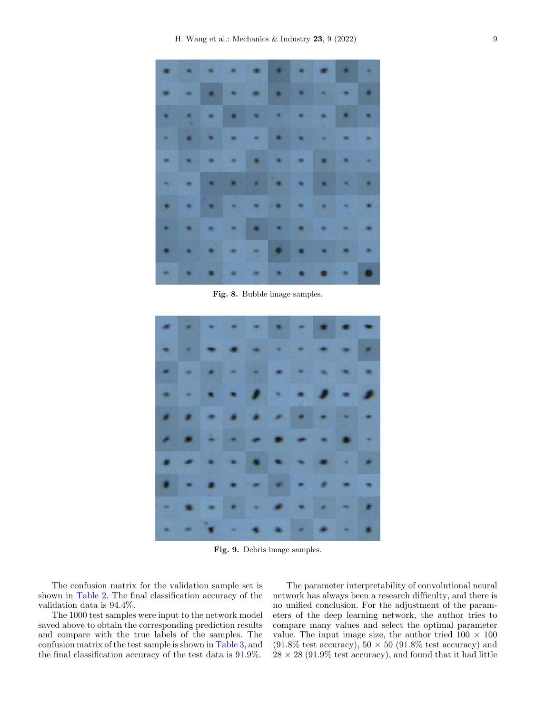<span id="page-8-0"></span>

Fig. 8. Bubble image samples.



Fig. 9. Debris image samples.

The confusion matrix for the validation sample set is shown in [Table 2](#page-10-0). The final classification accuracy of the validation data is 94.4%.

The 1000 test samples were input to the network model saved above to obtain the corresponding prediction results and compare with the true labels of the samples. The confusion matrix of the test sample is shown in [Table 3](#page-10-0), and the final classification accuracy of the test data is 91.9%.

The parameter interpretability of convolutional neural network has always been a research difficulty, and there is no unified conclusion. For the adjustment of the parameters of the deep learning network, the author tries to compare many values and select the optimal parameter value. The input image size, the author tried  $100 \times 100$  $(91.8\% \text{ test accuracy})$ ,  $50 \times 50$   $(91.8\% \text{ test accuracy})$  and  $28 \times 28$  (91.9% test accuracy), and found that it had little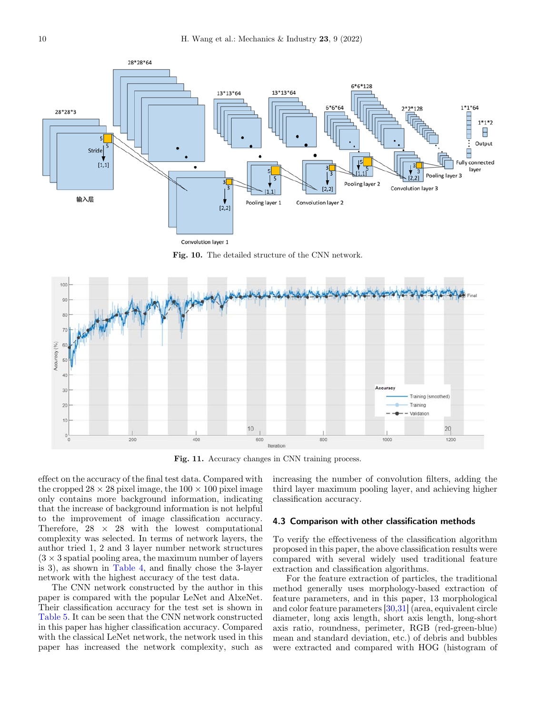<span id="page-9-0"></span>

Fig. 10. The detailed structure of the CNN network.



Fig. 11. Accuracy changes in CNN training process.

effect on the accuracy of the final test data. Compared with the cropped  $28 \times 28$  pixel image, the  $100 \times 100$  pixel image only contains more background information, indicating that the increase of background information is not helpful to the improvement of image classification accuracy. Therefore,  $28 \times 28$  with the lowest computational complexity was selected. In terms of network layers, the author tried 1, 2 and 3 layer number network structures  $(3 \times 3$  spatial pooling area, the maximum number of layers is 3), as shown in [Table 4](#page-10-0), and finally chose the 3-layer network with the highest accuracy of the test data.

The CNN network constructed by the author in this paper is compared with the popular LeNet and AlxeNet. Their classification accuracy for the test set is shown in [Table 5](#page-10-0). It can be seen that the CNN network constructed in this paper has higher classification accuracy. Compared with the classical LeNet network, the network used in this paper has increased the network complexity, such as

increasing the number of convolution filters, adding the third layer maximum pooling layer, and achieving higher classification accuracy.

#### 4.3 Comparison with other classification methods

To verify the effectiveness of the classification algorithm proposed in this paper, the above classification results were compared with several widely used traditional feature extraction and classification algorithms.

For the feature extraction of particles, the traditional method generally uses morphology-based extraction of feature parameters, and in this paper, 13 morphological and color feature parameters [\[30](#page-13-0),[31\]](#page-14-0) (area, equivalent circle diameter, long axis length, short axis length, long-short axis ratio, roundness, perimeter, RGB (red-green-blue) mean and standard deviation, etc.) of debris and bubbles were extracted and compared with HOG (histogram of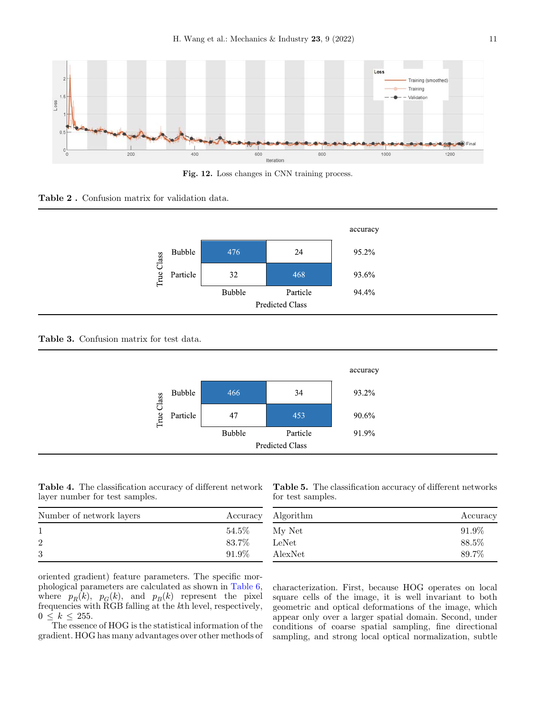<span id="page-10-0"></span>

Fig. 12. Loss changes in CNN training process.

## Table 2 . Confusion matrix for validation data.



Table 3. Confusion matrix for test data.



Table 4. The classification accuracy of different network layer number for test samples.

Table 5. The classification accuracy of different networks for test samples.

| Number of network layers | Accuracy |
|--------------------------|----------|
|                          | 54.5%    |
| $\overline{2}$           | 83.7%    |
| 3                        | 91.9%    |

| Algorithm | Accuracy |  |
|-----------|----------|--|
| My Net    | 91.9%    |  |
| LeNet     | 88.5%    |  |
| AlexNet   | 89.7%    |  |

oriented gradient) feature parameters. The specific morphological parameters are calculated as shown in [Table 6](#page-11-0), where  $p_R(k)$ ,  $p_G(k)$ , and  $p_B(k)$  represent the pixel frequencies with RGB falling at the kth level, respectively,  $0 \leq k \leq 255$ .

The essence of HOG is the statistical information of the gradient. HOG has many advantages over other methods of

characterization. First, because HOG operates on local square cells of the image, it is well invariant to both geometric and optical deformations of the image, which appear only over a larger spatial domain. Second, under conditions of coarse spatial sampling, fine directional sampling, and strong local optical normalization, subtle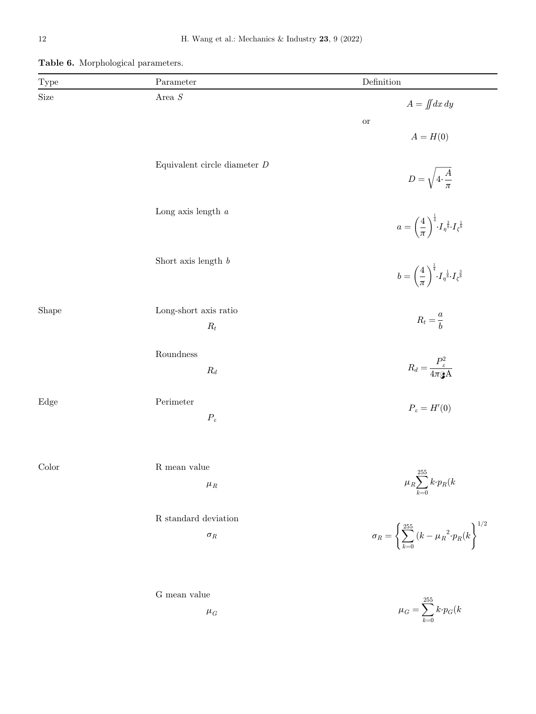| Type  | Parameter                                            | Definition                                                                                                              |
|-------|------------------------------------------------------|-------------------------------------------------------------------------------------------------------------------------|
| Size  | Area ${\cal S}$                                      | $A = \iint dx dy$<br><b>or</b><br>$A = H(0)$                                                                            |
|       | Equivalent circle diameter ${\cal D}$                | $D=\sqrt{4\cdot\frac{A}{\pi}}$                                                                                          |
|       | Long axis length $a$                                 | $a = \left(\frac{4}{\pi}\right)^{\frac{1}{4}} I_{\eta}^{\frac{3}{8}} I_{\zeta}^{\frac{1}{8}}$                           |
|       | Short axis length $\boldsymbol{b}$                   | $b = \left(\frac{4}{\pi}\right)^{\frac{1}{4}} \!\!\cdot\! I_{\eta}^{-\frac{1}{8}} \!\!\cdot\! I_{\zeta}^{-\frac{3}{8}}$ |
| Shape | Long-short axis ratio<br>$\mathcal{R}_t$             | $R_t = \frac{a}{b}$                                                                                                     |
|       | $\label{1.1} \mbox{Roundness}$<br>$\mathcal{R}_d$    | $R_d = \frac{P_{\varepsilon}^2}{4\pi \mathbf{\hat{g}}\mathbf{A}}$                                                       |
| Edge  | $\operatorname{Perimeter}$<br>$P_\varepsilon$        | $P_\varepsilon=H'(0)$                                                                                                   |
| Color | ${\bf R}$ mean value<br>$\mu_{\scriptscriptstyle R}$ | $\mu_R \displaystyle{\sum_{k=0}^{255} k\!\cdot\! p_R(k)}$                                                               |
|       | R standard deviation<br>$\sigma_R$                   | $\sigma_R = \left\{ \sum_{k=0}^{255} \left(k - \mu_R^{\ \ 2} \cdot p_R(k) \right\}^{1/2} \right\}$                      |
|       | ${\rm G}$ mean value<br>$\mu_G$                      | $\mu_G = \sum^{255} k{\cdot}p_G(k$                                                                                      |

 $k=0$ 

<span id="page-11-0"></span>Table 6. Morphological parameters.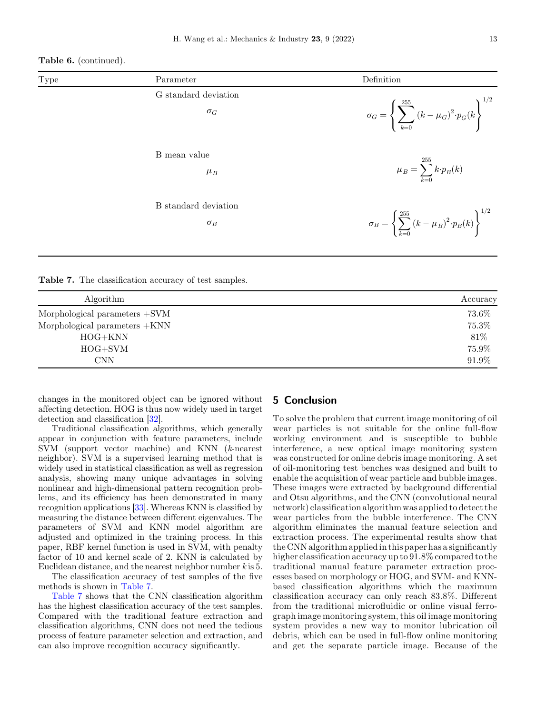Table 6. (continued).

| Type | Parameter                          | Definition                                                                                    |
|------|------------------------------------|-----------------------------------------------------------------------------------------------|
|      | G standard deviation<br>$\sigma_G$ | $\sigma_G = \left\{ \sum_{k=0}^{255} \left(k - \mu_G\right)^2 \cdot p_G(k) \right\}^{\gamma}$ |
|      | B mean value<br>$\mu_B$            | $\mu_B = \sum_{k=0}^{255} k{\cdot}p_B(k)$                                                     |
|      | B standard deviation<br>$\sigma_B$ | $\sigma_B = \left\{ \sum_{k=0}^{255} (k - \mu_B)^2 \cdot p_B(k) \right\}^{1/2}$               |

Table 7. The classification accuracy of test samples.

| Algorithm                             | Accuracy |
|---------------------------------------|----------|
| Morphological parameters $+{\rm SVM}$ | 73.6%    |
| Morphological parameters +KNN         | 75.3%    |
| $HOG+KNN$                             | 81\%     |
| $HOG + SVM$                           | 75.9%    |
| <b>CNN</b>                            | 91.9%    |

changes in the monitored object can be ignored without affecting detection. HOG is thus now widely used in target detection and classification [[32\]](#page-14-0).

Traditional classification algorithms, which generally appear in conjunction with feature parameters, include SVM (support vector machine) and KNN (k-nearest neighbor). SVM is a supervised learning method that is widely used in statistical classification as well as regression analysis, showing many unique advantages in solving nonlinear and high-dimensional pattern recognition problems, and its efficiency has been demonstrated in many recognition applications [[33\]](#page-14-0). Whereas KNN is classified by measuring the distance between different eigenvalues. The parameters of SVM and KNN model algorithm are adjusted and optimized in the training process. In this paper, RBF kernel function is used in SVM, with penalty factor of 10 and kernel scale of 2. KNN is calculated by Euclidean distance, and the nearest neighbor number  $k$  is 5.

The classification accuracy of test samples of the five methods is shown in Table 7.

Table 7 shows that the CNN classification algorithm has the highest classification accuracy of the test samples. Compared with the traditional feature extraction and classification algorithms, CNN does not need the tedious process of feature parameter selection and extraction, and can also improve recognition accuracy significantly.

## 5 Conclusion

To solve the problem that current image monitoring of oil wear particles is not suitable for the online full-flow working environment and is susceptible to bubble interference, a new optical image monitoring system was constructed for online debris image monitoring. A set of oil-monitoring test benches was designed and built to enable the acquisition of wear particle and bubble images. These images were extracted by background differential and Otsu algorithms, and the CNN (convolutional neural network) classification algorithm was applied to detect the wear particles from the bubble interference. The CNN algorithm eliminates the manual feature selection and extraction process. The experimental results show that the CNN algorithm applied in this paper has a significantly higher classification accuracy up to 91.8% compared to the traditional manual feature parameter extraction processes based on morphology or HOG, and SVM- and KNNbased classification algorithms which the maximum classification accuracy can only reach 83.8%. Different from the traditional microfluidic or online visual ferrograph image monitoring system, this oil image monitoring system provides a new way to monitor lubrication oil debris, which can be used in full-flow online monitoring and get the separate particle image. Because of the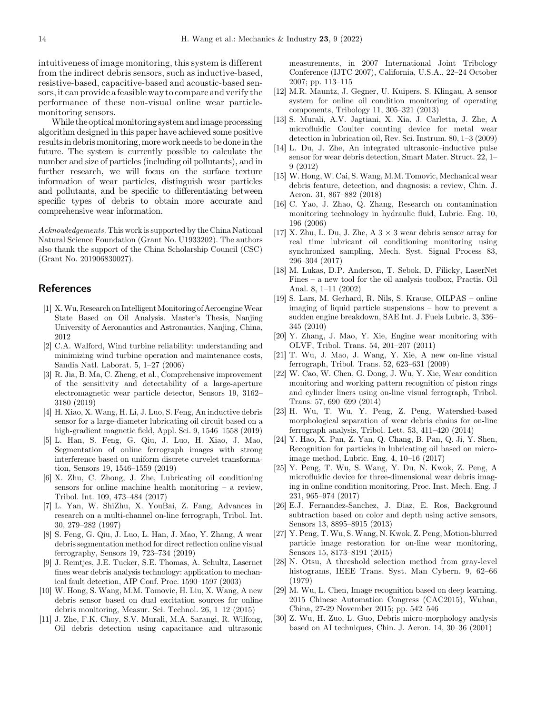<span id="page-13-0"></span>intuitiveness of image monitoring, this system is different from the indirect debris sensors, such as inductive-based, resistive-based, capacitive-based and acoustic-based sensors,it can provide a feasible way to compare and verify the performance of these non-visual online wear particlemonitoring sensors.

While the optical monitoring system and image processing algorithm designed in this paper have achieved some positive resultsin debrismonitoring,more work needs to be donein the future. The system is currently possible to calculate the number and size of particles (including oil pollutants), and in further research, we will focus on the surface texture information of wear particles, distinguish wear particles and pollutants, and be specific to differentiating between specific types of debris to obtain more accurate and comprehensive wear information.

Acknowledgements. This work is supported by the China National Natural Science Foundation (Grant No. U1933202). The authors also thank the support of the China Scholarship Council (CSC) (Grant No. 201906830027).

## References

- [1] X. Wu, Research on Intelligent Monitoring of Aeroengine Wear State Based on Oil Analysis. Master's Thesis, Nanjing University of Aeronautics and Astronautics, Nanjing, China, 2012
- [2] C.A. Walford, Wind turbine reliability: understanding and minimizing wind turbine operation and maintenance costs, Sandia Natl. Laborat. 5, 1–27 (2006)
- [3] R. Jia, B. Ma, C. Zheng, et al., Comprehensive improvement of the sensitivity and detectability of a large-aperture electromagnetic wear particle detector, Sensors 19, 3162– 3180 (2019)
- [4] H. Xiao, X. Wang, H. Li, J. Luo, S. Feng, An inductive debris sensor for a large-diameter lubricating oil circuit based on a high-gradient magnetic field, Appl. Sci. 9, 1546–1558 (2019)
- [5] L. Han, S. Feng, G. Qiu, J. Luo, H. Xiao, J. Mao, Segmentation of online ferrograph images with strong interference based on uniform discrete curvelet transformation, Sensors 19, 1546–1559 (2019)
- [6] X. Zhu, C. Zhong, J. Zhe, Lubricating oil conditioning sensors for online machine health monitoring – a review, Tribol. Int. 109, 473–484 (2017)
- [7] L. Yan, W. ShiZhu, X. YouBai, Z. Fang, Advances in research on a multi-channel on-line ferrograph, Tribol. Int. 30, 279–282 (1997)
- [8] S. Feng, G. Qiu, J. Luo, L. Han, J. Mao, Y. Zhang, A wear debris segmentation method for direct reflection online visual ferrography, Sensors 19, 723–734 (2019)
- [9] J. Reintjes, J.E. Tucker, S.E. Thomas, A. Schultz, Lasernet fines wear debris analysis technology: application to mechanical fault detection, AIP Conf. Proc. 1590–1597 (2003)
- [10] W. Hong, S. Wang, M.M. Tomovic, H. Liu, X. Wang, A new debris sensor based on dual excitation sources for online debris monitoring, Measur. Sci. Technol. 26, 1–12 (2015)
- [11] J. Zhe, F.K. Choy, S.V. Murali, M.A. Sarangi, R. Wilfong, Oil debris detection using capacitance and ultrasonic

measurements, in 2007 International Joint Tribology Conference (IJTC 2007), California, U.S.A., 22–24 October 2007; pp. 113–115

- [12] M.R. Mauntz, J. Gegner, U. Kuipers, S. Klingau, A sensor system for online oil condition monitoring of operating components, Tribology 11, 305–321 (2013)
- [13] S. Murali, A.V. Jagtiani, X. Xia, J. Carletta, J. Zhe, A microfluidic Coulter counting device for metal wear detection in lubrication oil, Rev. Sci. Instrum. 80, 1–3 (2009)
- [14] L. Du, J. Zhe, An integrated ultrasonic–inductive pulse sensor for wear debris detection, Smart Mater. Struct. 22, 1– 9 (2012)
- [15] W. Hong, W. Cai, S. Wang, M.M. Tomovic, Mechanical wear debris feature, detection, and diagnosis: a review, Chin. J. Aeron. 31, 867–882 (2018)
- [16] C. Yao, J. Zhao, Q. Zhang, Research on contamination monitoring technology in hydraulic fluid, Lubric. Eng. 10, 196 (2006)
- [17] X. Zhu, L. Du, J. Zhe, A  $3 \times 3$  wear debris sensor array for real time lubricant oil conditioning monitoring using synchronized sampling, Mech. Syst. Signal Process 83, 296–304 (2017)
- [18] M. Lukas, D.P. Anderson, T. Sebok, D. Filicky, LaserNet Fines – a new tool for the oil analysis toolbox, Practis. Oil Anal. 8, 1–11 (2002)
- [19] S. Lars, M. Gerhard, R. Nils, S. Krause, OILPAS online imaging of liquid particle suspensions – how to prevent a sudden engine breakdown, SAE Int. J. Fuels Lubric. 3, 336– 345 (2010)
- [20] Y. Zhang, J. Mao, Y. Xie, Engine wear monitoring with OLVF, Tribol. Trans. 54, 201–207 (2011)
- [21] T. Wu, J. Mao, J. Wang, Y. Xie, A new on-line visual ferrograph, Tribol. Trans. 52, 623–631 (2009)
- [22] W. Cao, W. Chen, G. Dong, J. Wu, Y. Xie, Wear condition monitoring and working pattern recognition of piston rings and cylinder liners using on-line visual ferrograph, Tribol. Trans. 57, 690–699 (2014)
- [23] H. Wu, T. Wu, Y. Peng, Z. Peng, Watershed-based morphological separation of wear debris chains for on-line ferrograph analysis, Tribol. Lett. 53, 411–420 (2014)
- [24] Y. Hao, X. Pan, Z. Yan, Q. Chang, B. Pan, Q. Ji, Y. Shen, Recognition for particles in lubricating oil based on microimage method, Lubric. Eng. 4, 10–16 (2017)
- [25] Y. Peng, T. Wu, S. Wang, Y. Du, N. Kwok, Z. Peng, A microfluidic device for three-dimensional wear debris imaging in online condition monitoring, Proc. Inst. Mech. Eng. J 231, 965–974 (2017)
- [26] E.J. Fernandez-Sanchez, J. Diaz, E. Ros, Background subtraction based on color and depth using active sensors, Sensors 13, 8895–8915 (2013)
- [27] Y. Peng, T. Wu, S. Wang, N. Kwok, Z. Peng, Motion-blurred particle image restoration for on-line wear monitoring, Sensors 15, 8173–8191 (2015)
- [28] N. Otsu, A threshold selection method from gray-level histograms, IEEE Trans. Syst. Man Cybern. 9, 62–66 (1979)
- [29] M. Wu, L. Chen, Image recognition based on deep learning. 2015 Chinese Automation Congress (CAC2015), Wuhan, China, 27-29 November 2015; pp. 542–546
- [30] Z. Wu, H. Zuo, L. Guo, Debris micro-morphology analysis based on AI techniques, Chin. J. Aeron. 14, 30–36 (2001)